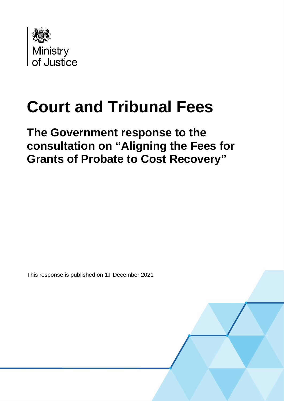

# **Court and Tribunal Fees**

## **The Government response to the consultation on "Aligning the Fees for Grants of Probate to Cost Recovery"**

This response is published on 1Î December 2021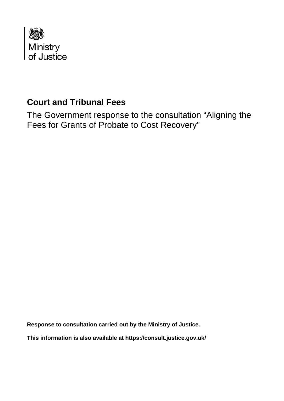

### **Court and Tribunal Fees**

The Government response to the consultation "Aligning the Fees for Grants of Probate to Cost Recovery"

**Response to consultation carried out by the Ministry of Justice.**

**This information is also available at<https://consult.justice.gov.uk/>**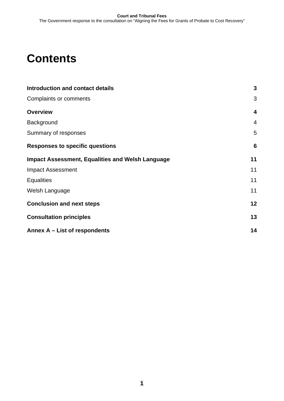### **Contents**

| Introduction and contact details                        | $\mathbf{3}$            |
|---------------------------------------------------------|-------------------------|
| Complaints or comments                                  | 3                       |
| <b>Overview</b>                                         | $\overline{\mathbf{4}}$ |
| Background                                              | $\overline{4}$          |
| Summary of responses                                    | 5                       |
| <b>Responses to specific questions</b>                  | $6\phantom{1}6$         |
| <b>Impact Assessment, Equalities and Welsh Language</b> | 11                      |
| <b>Impact Assessment</b>                                | 11                      |
| <b>Equalities</b>                                       | 11                      |
| Welsh Language                                          | 11                      |
| <b>Conclusion and next steps</b>                        | 12                      |
| <b>Consultation principles</b>                          | 13                      |
| Annex A - List of respondents                           | 14                      |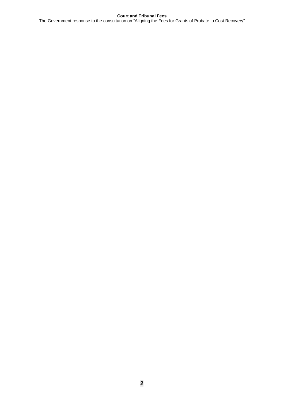#### **Court and Tribunal Fees**

The Government response to the consultation on "Aligning the Fees for Grants of Probate to Cost Recovery"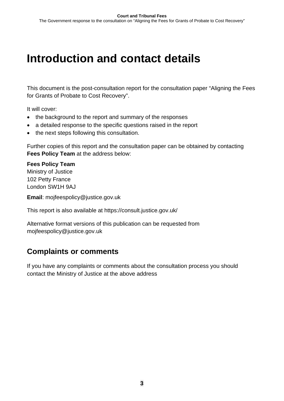## <span id="page-4-0"></span>**Introduction and contact details**

This document is the post-consultation report for the consultation paper "Aligning the Fees for Grants of Probate to Cost Recovery".

It will cover:

- the background to the report and summary of the responses
- a detailed response to the specific questions raised in the report
- the next steps following this consultation.

Further copies of this report and the consultation paper can be obtained by contacting **Fees Policy Team** at the address below:

**Fees Policy Team** Ministry of Justice 102 Petty France London SW1H 9AJ

**Email**: [mojfeespolicy@justice.gov.uk](mailto:mojfeespolicy@justice.gov.uk)

This report is also available at<https://consult.justice.gov.uk/>

Alternative format versions of this publication can be requested from [mojfeespolicy@justice.gov.uk](mailto:mojfeespolicy@justice.gov.uk)

#### <span id="page-4-1"></span>**Complaints or comments**

If you have any complaints or comments about the consultation process you should contact the Ministry of Justice at the above address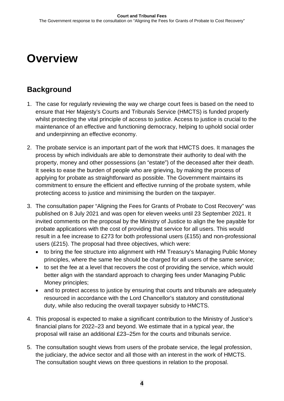### <span id="page-5-0"></span>**Overview**

#### <span id="page-5-1"></span>**Background**

- 1. The case for regularly reviewing the way we charge court fees is based on the need to ensure that Her Majesty's Courts and Tribunals Service (HMCTS) is funded properly whilst protecting the vital principle of access to justice. Access to justice is crucial to the maintenance of an effective and functioning democracy, helping to uphold social order and underpinning an effective economy.
- 2. The probate service is an important part of the work that HMCTS does. It manages the process by which individuals are able to demonstrate their authority to deal with the property, money and other possessions (an "estate") of the deceased after their death. It seeks to ease the burden of people who are grieving, by making the process of applying for probate as straightforward as possible. The Government maintains its commitment to ensure the efficient and effective running of the probate system, while protecting access to justice and minimising the burden on the taxpayer.
- 3. The consultation paper "Aligning the Fees for Grants of Probate to Cost Recovery" was published on 8 July 2021 and was open for eleven weeks until 23 September 2021. It invited comments on the proposal by the Ministry of Justice to align the fee payable for probate applications with the cost of providing that service for all users. This would result in a fee increase to £273 for both professional users (£155) and non-professional users (£215). The proposal had three objectives, which were:
	- to bring the fee structure into alignment with HM Treasury's Managing Public Money principles, where the same fee should be charged for all users of the same service;
	- to set the fee at a level that recovers the cost of providing the service, which would better align with the standard approach to charging fees under Managing Public Money principles;
	- and to protect access to justice by ensuring that courts and tribunals are adequately resourced in accordance with the Lord Chancellor's statutory and constitutional duty, while also reducing the overall taxpayer subsidy to HMCTS.
- 4. This proposal is expected to make a significant contribution to the Ministry of Justice's financial plans for 2022–23 and beyond. We estimate that in a typical year, the proposal will raise an additional £23–25m for the courts and tribunals service.
- 5. The consultation sought views from users of the probate service, the legal profession, the judiciary, the advice sector and all those with an interest in the work of HMCTS. The consultation sought views on three questions in relation to the proposal.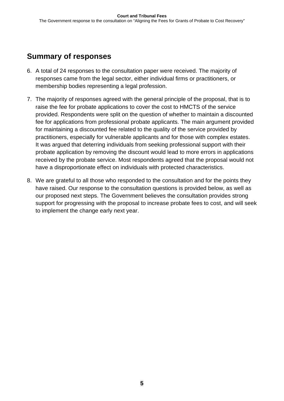### <span id="page-6-0"></span>**Summary of responses**

- 6. A total of 24 responses to the consultation paper were received. The majority of responses came from the legal sector, either individual firms or practitioners, or membership bodies representing a legal profession.
- 7. The majority of responses agreed with the general principle of the proposal, that is to raise the fee for probate applications to cover the cost to HMCTS of the service provided. Respondents were split on the question of whether to maintain a discounted fee for applications from professional probate applicants. The main argument provided for maintaining a discounted fee related to the quality of the service provided by practitioners, especially for vulnerable applicants and for those with complex estates. It was argued that deterring individuals from seeking professional support with their probate application by removing the discount would lead to more errors in applications received by the probate service. Most respondents agreed that the proposal would not have a disproportionate effect on individuals with protected characteristics.
- 8. We are grateful to all those who responded to the consultation and for the points they have raised. Our response to the consultation questions is provided below, as well as our proposed next steps. The Government believes the consultation provides strong support for progressing with the proposal to increase probate fees to cost, and will seek to implement the change early next year.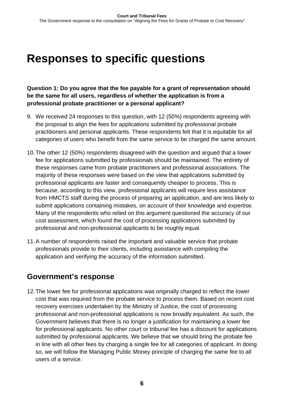### <span id="page-7-0"></span>**Responses to specific questions**

**Question 1: Do you agree that the fee payable for a grant of representation should be the same for all users, regardless of whether the application is from a professional probate practitioner or a personal applicant?**

- 9. We received 24 responses to this question, with 12 (50%) respondents agreeing with the proposal to align the fees for applications submitted by professional probate practitioners and personal applicants. These respondents felt that it is equitable for all categories of users who benefit from the same service to be charged the same amount.
- 10.The other 12 (50%) respondents disagreed with the question and argued that a lower fee for applications submitted by professionals should be maintained. The entirety of these responses came from probate practitioners and professional associations. The majority of these responses were based on the view that applications submitted by professional applicants are faster and consequently cheaper to process. This is because, according to this view, professional applicants will require less assistance from HMCTS staff during the process of preparing an application, and are less likely to submit applications containing mistakes, on account of their knowledge and expertise. Many of the respondents who relied on this argument questioned the accuracy of our cost assessment, which found the cost of processing applications submitted by professional and non-professional applicants to be roughly equal.
- 11.A number of respondents raised the important and valuable service that probate professionals provide to their clients, including assistance with compiling the application and verifying the accuracy of the information submitted.

#### **Government's response**

12.The lower fee for professional applications was originally charged to reflect the lower cost that was required from the probate service to process them. Based on recent cost recovery exercises undertaken by the Ministry of Justice, the cost of processing professional and non-professional applications is now broadly equivalent. As such, the Government believes that there is no longer a justification for maintaining a lower fee for professional applicants. No other court or tribunal fee has a discount for applications submitted by professional applicants. We believe that we should bring the probate fee in line with all other fees by charging a single fee for all categories of applicant. In doing so, we will follow the Managing Public Money principle of charging the same fee to all users of a service.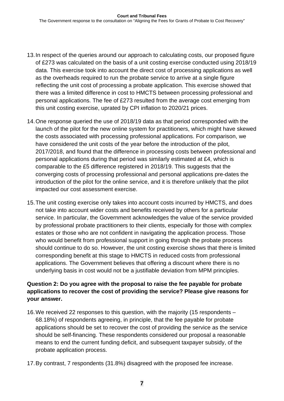- 13.In respect of the queries around our approach to calculating costs, our proposed figure of £273 was calculated on the basis of a unit costing exercise conducted using 2018/19 data. This exercise took into account the direct cost of processing applications as well as the overheads required to run the probate service to arrive at a single figure reflecting the unit cost of processing a probate application. This exercise showed that there was a limited difference in cost to HMCTS between processing professional and personal applications. The fee of £273 resulted from the average cost emerging from this unit costing exercise, uprated by CPI inflation to 2020/21 prices.
- 14.One response queried the use of 2018/19 data as that period corresponded with the launch of the pilot for the new online system for practitioners, which might have skewed the costs associated with processing professional applications. For comparison, we have considered the unit costs of the year before the introduction of the pilot, 2017/2018, and found that the difference in processing costs between professional and personal applications during that period was similarly estimated at £4, which is comparable to the £5 difference registered in 2018/19. This suggests that the converging costs of processing professional and personal applications pre-dates the introduction of the pilot for the online service, and it is therefore unlikely that the pilot impacted our cost assessment exercise.
- 15.The unit costing exercise only takes into account costs incurred by HMCTS, and does not take into account wider costs and benefits received by others for a particular service. In particular, the Government acknowledges the value of the service provided by professional probate practitioners to their clients, especially for those with complex estates or those who are not confident in navigating the application process. Those who would benefit from professional support in going through the probate process should continue to do so. However, the unit costing exercise shows that there is limited corresponding benefit at this stage to HMCTS in reduced costs from professional applications. The Government believes that offering a discount where there is no underlying basis in cost would not be a justifiable deviation from MPM principles.

#### **Question 2: Do you agree with the proposal to raise the fee payable for probate applications to recover the cost of providing the service? Please give reasons for your answer.**

- 16.We received 22 responses to this question, with the majority (15 respondents 68.18%) of respondents agreeing, in principle, that the fee payable for probate applications should be set to recover the cost of providing the service as the service should be self-financing. These respondents considered our proposal a reasonable means to end the current funding deficit, and subsequent taxpayer subsidy, of the probate application process.
- 17.By contrast, 7 respondents (31.8%) disagreed with the proposed fee increase.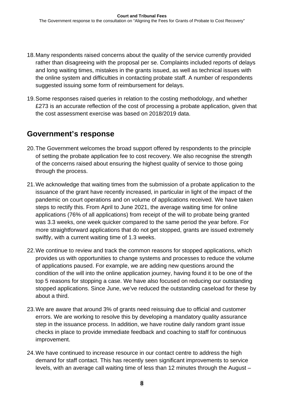- 18.Many respondents raised concerns about the quality of the service currently provided rather than disagreeing with the proposal per se. Complaints included reports of delays and long waiting times, mistakes in the grants issued, as well as technical issues with the online system and difficulties in contacting probate staff. A number of respondents suggested issuing some form of reimbursement for delays.
- 19.Some responses raised queries in relation to the costing methodology, and whether £273 is an accurate reflection of the cost of processing a probate application, given that the cost assessment exercise was based on 2018/2019 data.

#### **Government's response**

- 20.The Government welcomes the broad support offered by respondents to the principle of setting the probate application fee to cost recovery. We also recognise the strength of the concerns raised about ensuring the highest quality of service to those going through the process.
- 21.We acknowledge that waiting times from the submission of a probate application to the issuance of the grant have recently increased, in particular in light of the impact of the pandemic on court operations and on volume of applications received. We have taken steps to rectify this. From April to June 2021, the average waiting time for online applications (76% of all applications) from receipt of the will to probate being granted was 3.3 weeks, one week quicker compared to the same period the year before. For more straightforward applications that do not get stopped, grants are issued extremely swiftly, with a current waiting time of 1.3 weeks.
- 22.We continue to review and track the common reasons for stopped applications, which provides us with opportunities to change systems and processes to reduce the volume of applications paused. For example, we are adding new questions around the condition of the will into the online application journey, having found it to be one of the top 5 reasons for stopping a case. We have also focused on reducing our outstanding stopped applications. Since June, we've reduced the outstanding caseload for these by about a third.
- 23.We are aware that around 3% of grants need reissuing due to official and customer errors. We are working to resolve this by developing a mandatory quality assurance step in the issuance process. In addition, we have routine daily random grant issue checks in place to provide immediate feedback and coaching to staff for continuous improvement.
- 24.We have continued to increase resource in our contact centre to address the high demand for staff contact. This has recently seen significant improvements to service levels, with an average call waiting time of less than 12 minutes through the August –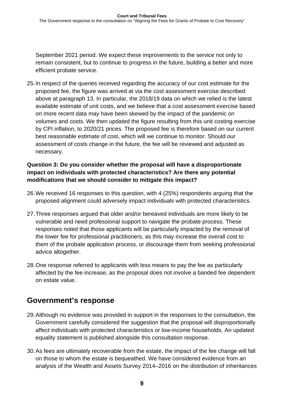September 2021 period. We expect these improvements to the service not only to remain consistent, but to continue to progress in the future, building a better and more efficient probate service.

25.In respect of the queries received regarding the accuracy of our cost estimate for the proposed fee, the figure was arrived at via the cost assessment exercise described above at paragraph 13. In particular, the 2018/19 data on which we relied is the latest available estimate of unit costs, and we believe that a cost assessment exercise based on more recent data may have been skewed by the impact of the pandemic on volumes and costs. We then updated the figure resulting from this unit costing exercise by CPI inflation, to 2020/21 prices. The proposed fee is therefore based on our current best reasonable estimate of cost, which will we continue to monitor. Should our assessment of costs change in the future, the fee will be reviewed and adjusted as necessary.

#### **Question 3: Do you consider whether the proposal will have a disproportionate impact on individuals with protected characteristics? Are there any potential modifications that we should consider to mitigate this impact?**

- 26.We received 16 responses to this question, with 4 (25%) respondents arguing that the proposed alignment could adversely impact individuals with protected characteristics.
- 27.Three responses argued that older and/or bereaved individuals are more likely to be vulnerable and need professional support to navigate the probate process. These responses noted that those applicants will be particularly impacted by the removal of the lower fee for professional practitioners, as this may increase the overall cost to them of the probate application process, or discourage them from seeking professional advice altogether.
- 28.One response referred to applicants with less means to pay the fee as particularly affected by the fee increase, as the proposal does not involve a banded fee dependent on estate value.

### **Government's response**

- 29.Although no evidence was provided in support in the responses to the consultation, the Government carefully considered the suggestion that the proposal will disproportionally affect individuals with protected characteristics or low-income households. An updated equality statement is published alongside this consultation response.
- 30.As fees are ultimately recoverable from the estate, the impact of the fee change will fall on those to whom the estate is bequeathed. We have considered evidence from an analysis of the Wealth and Assets Survey 2014–2016 on the distribution of inheritances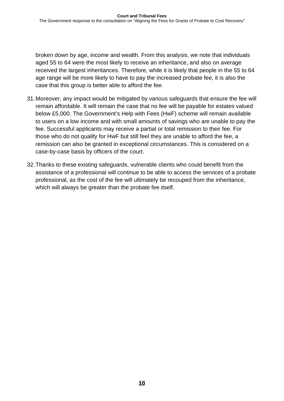broken down by age, income and wealth. From this analysis, we note that individuals aged 55 to 64 were the most likely to receive an inheritance, and also on average received the largest inheritances. Therefore, while it is likely that people in the 55 to 64 age range will be more likely to have to pay the increased probate fee, it is also the case that this group is better able to afford the fee.

- 31.Moreover, any impact would be mitigated by various safeguards that ensure the fee will remain affordable. It will remain the case that no fee will be payable for estates valued below £5,000. The Government's Help with Fees (HwF) scheme will remain available to users on a low income and with small amounts of savings who are unable to pay the fee. Successful applicants may receive a partial or total remission to their fee. For those who do not qualify for HwF but still feel they are unable to afford the fee, a remission can also be granted in exceptional circumstances. This is considered on a case-by-case basis by officers of the court.
- 32.Thanks to these existing safeguards, vulnerable clients who could benefit from the assistance of a professional will continue to be able to access the services of a probate professional, as the cost of the fee will ultimately be recouped from the inheritance, which will always be greater than the probate fee itself.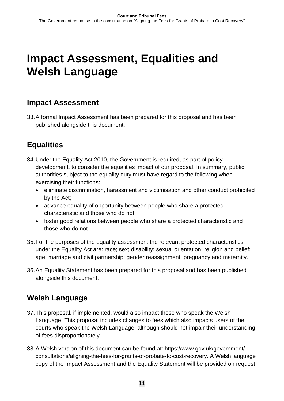# <span id="page-12-0"></span>**Impact Assessment, Equalities and Welsh Language**

### <span id="page-12-1"></span>**Impact Assessment**

33.A formal Impact Assessment has been prepared for this proposal and has been published alongside this document.

### <span id="page-12-2"></span>**Equalities**

- 34.Under the Equality Act 2010, the Government is required, as part of policy development, to consider the equalities impact of our proposal. In summary, public authorities subject to the equality duty must have regard to the following when exercising their functions:
	- eliminate discrimination, harassment and victimisation and other conduct prohibited by the Act;
	- advance equality of opportunity between people who share a protected characteristic and those who do not;
	- foster good relations between people who share a protected characteristic and those who do not.
- 35.For the purposes of the equality assessment the relevant protected characteristics under the Equality Act are: race; sex; disability; sexual orientation; religion and belief; age; marriage and civil partnership; gender reassignment; pregnancy and maternity.
- 36.An Equality Statement has been prepared for this proposal and has been published alongside this document.

### <span id="page-12-3"></span>**Welsh Language**

- 37.This proposal, if implemented, would also impact those who speak the Welsh Language. This proposal includes changes to fees which also impacts users of the courts who speak the Welsh Language, although should not impair their understanding of fees disproportionately.
- 38.A Welsh version of this document can be found at: [https://www.gov.uk/government/](https://www.gov.uk/government/consultations/aligning-the-fees-for-grants-of-probate-to-cost-recovery) [consultations/aligning-the-fees-for-grants-of-probate-to-cost-recovery.](https://www.gov.uk/government/consultations/aligning-the-fees-for-grants-of-probate-to-cost-recovery) A Welsh language copy of the Impact Assessment and the Equality Statement will be provided on request.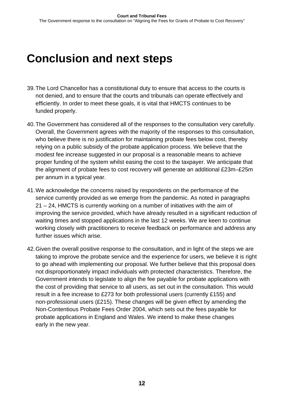## <span id="page-13-0"></span>**Conclusion and next steps**

- 39.The Lord Chancellor has a constitutional duty to ensure that access to the courts is not denied, and to ensure that the courts and tribunals can operate effectively and efficiently. In order to meet these goals, it is vital that HMCTS continues to be funded properly.
- 40.The Government has considered all of the responses to the consultation very carefully. Overall, the Government agrees with the majority of the responses to this consultation, who believe there is no justification for maintaining probate fees below cost, thereby relying on a public subsidy of the probate application process. We believe that the modest fee increase suggested in our proposal is a reasonable means to achieve proper funding of the system whilst easing the cost to the taxpayer. We anticipate that the alignment of probate fees to cost recovery will generate an additional £23m–£25m per annum in a typical year.
- 41.We acknowledge the concerns raised by respondents on the performance of the service currently provided as we emerge from the pandemic. As noted in paragraphs 21 – 24, HMCTS is currently working on a number of initiatives with the aim of improving the service provided, which have already resulted in a significant reduction of waiting times and stopped applications in the last 12 weeks. We are keen to continue working closely with practitioners to receive feedback on performance and address any further issues which arise.
- 42.Given the overall positive response to the consultation, and in light of the steps we are taking to improve the probate service and the experience for users, we believe it is right to go ahead with implementing our proposal. We further believe that this proposal does not disproportionately impact individuals with protected characteristics. Therefore, the Government intends to legislate to align the fee payable for probate applications with the cost of providing that service to all users, as set out in the consultation. This would result in a fee increase to £273 for both professional users (currently £155) and non-professional users (£215). These changes will be given effect by amending the Non-Contentious Probate Fees Order 2004, which sets out the fees payable for probate applications in England and Wales. We intend to make these changes early in the new year.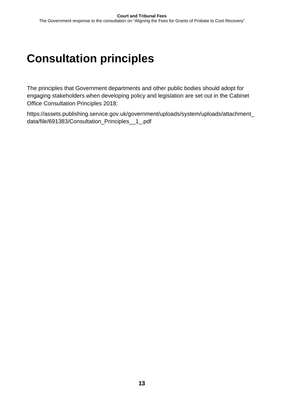# <span id="page-14-0"></span>**Consultation principles**

The principles that Government departments and other public bodies should adopt for engaging stakeholders when developing policy and legislation are set out in the Cabinet Office Consultation Principles 2018:

[https://assets.publishing.service.gov.uk/government/uploads/system/uploads/attachment\\_](https://assets.publishing.service.gov.uk/government/uploads/system/uploads/attachment_data/file/691383/Consultation_Principles__1_.pdf) [data/file/691383/Consultation\\_Principles\\_\\_1\\_.pdf](https://assets.publishing.service.gov.uk/government/uploads/system/uploads/attachment_data/file/691383/Consultation_Principles__1_.pdf)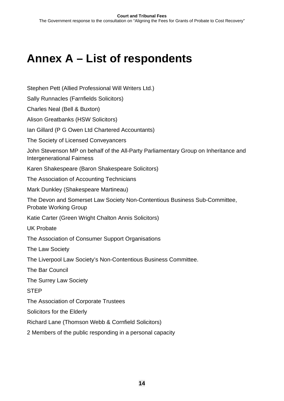# <span id="page-15-0"></span>**Annex A – List of respondents**

Stephen Pett (Allied Professional Will Writers Ltd.) Sally Runnacles (Farnfields Solicitors) Charles Neal (Bell & Buxton) Alison Greatbanks (HSW Solicitors) Ian Gillard (P G Owen Ltd Chartered Accountants) The Society of Licensed Conveyancers John Stevenson MP on behalf of the All-Party Parliamentary Group on Inheritance and Intergenerational Fairness Karen Shakespeare (Baron Shakespeare Solicitors) The Association of Accounting Technicians Mark Dunkley (Shakespeare Martineau) The Devon and Somerset Law Society Non-Contentious Business Sub-Committee, Probate Working Group Katie Carter (Green Wright Chalton Annis Solicitors) UK Probate The Association of Consumer Support Organisations The Law Society The Liverpool Law Society's Non-Contentious Business Committee. The Bar Council The Surrey Law Society **STEP** The Association of Corporate Trustees Solicitors for the Elderly Richard Lane (Thomson Webb & Cornfield Solicitors) 2 Members of the public responding in a personal capacity